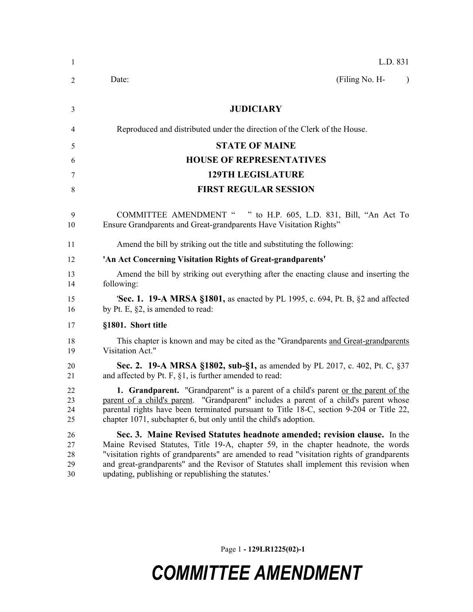| -1                         | L.D. 831                                                                                                                                                                                                                                                                                                                                                                                                      |
|----------------------------|---------------------------------------------------------------------------------------------------------------------------------------------------------------------------------------------------------------------------------------------------------------------------------------------------------------------------------------------------------------------------------------------------------------|
| 2                          | (Filing No. H-<br>Date:<br>$\lambda$                                                                                                                                                                                                                                                                                                                                                                          |
| 3                          | <b>JUDICIARY</b>                                                                                                                                                                                                                                                                                                                                                                                              |
| 4                          | Reproduced and distributed under the direction of the Clerk of the House.                                                                                                                                                                                                                                                                                                                                     |
| 5                          | <b>STATE OF MAINE</b>                                                                                                                                                                                                                                                                                                                                                                                         |
| 6                          | <b>HOUSE OF REPRESENTATIVES</b>                                                                                                                                                                                                                                                                                                                                                                               |
| 7                          | <b>129TH LEGISLATURE</b>                                                                                                                                                                                                                                                                                                                                                                                      |
| 8                          | <b>FIRST REGULAR SESSION</b>                                                                                                                                                                                                                                                                                                                                                                                  |
| 9<br>10                    | <b>COMMITTEE AMENDMENT "</b><br>" to H.P. 605, L.D. 831, Bill, "An Act To<br>Ensure Grandparents and Great-grandparents Have Visitation Rights"                                                                                                                                                                                                                                                               |
| 11                         | Amend the bill by striking out the title and substituting the following:                                                                                                                                                                                                                                                                                                                                      |
| 12                         | 'An Act Concerning Visitation Rights of Great-grandparents'                                                                                                                                                                                                                                                                                                                                                   |
| 13<br>14                   | Amend the bill by striking out everything after the enacting clause and inserting the<br>following:                                                                                                                                                                                                                                                                                                           |
| 15<br>16                   | <b>Sec. 1. 19-A MRSA §1801,</b> as enacted by PL 1995, c. 694, Pt. B, §2 and affected<br>by Pt. E, §2, is amended to read:                                                                                                                                                                                                                                                                                    |
| 17                         | §1801. Short title                                                                                                                                                                                                                                                                                                                                                                                            |
| 18<br>19                   | This chapter is known and may be cited as the "Grandparents and Great-grandparents"<br>Visitation Act."                                                                                                                                                                                                                                                                                                       |
| 20<br>21                   | <b>Sec. 2. 19-A MRSA §1802, sub-§1, as amended by PL 2017, c. 402, Pt. C, §37</b><br>and affected by Pt. F, $\S1$ , is further amended to read:                                                                                                                                                                                                                                                               |
| 22<br>23<br>24<br>25       | <b>1. Grandparent.</b> "Grandparent" is a parent of a child's parent or the parent of the<br>parent of a child's parent. "Grandparent" includes a parent of a child's parent whose<br>parental rights have been terminated pursuant to Title 18-C, section 9-204 or Title 22,<br>chapter 1071, subchapter 6, but only until the child's adoption.                                                             |
| 26<br>27<br>28<br>29<br>30 | Sec. 3. Maine Revised Statutes headnote amended; revision clause. In the<br>Maine Revised Statutes, Title 19-A, chapter 59, in the chapter headnote, the words<br>"visitation rights of grandparents" are amended to read "visitation rights of grandparents<br>and great-grandparents" and the Revisor of Statutes shall implement this revision when<br>updating, publishing or republishing the statutes.' |

Page 1 **- 129LR1225(02)-1**

## *COMMITTEE AMENDMENT*